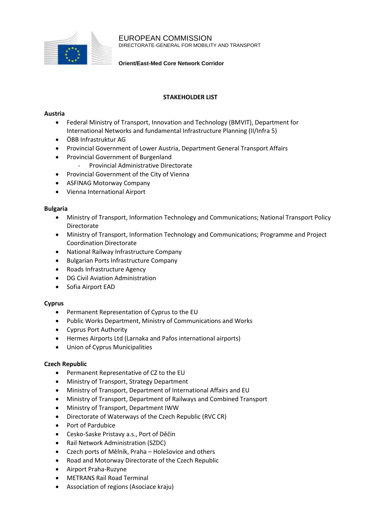

EUROPEAN COMMISSION DIRECTORATE-GENERAL FOR MOBILITY AND TRANSPORT

**Orient/East-Med Core Network Corridor**

## **STAKEHOLDER LIST**

### **Austria**

- Federal Ministry of Transport, Innovation and Technology (BMVIT), Department for International Networks and fundamental Infrastructure Planning (II/Infra 5)
- ÖBB Infrastruktur AG
- Provincial Government of Lower Austria, Department General Transport Affairs
- Provincial Government of Burgenland
	- Provincial Administrative Directorate
- Provincial Government of the City of Vienna
- ASFINAG Motorway Company
- Vienna International Airport

### **Bulgaria**

- Ministry of Transport, Information Technology and Communications; National Transport Policy Directorate
- Ministry of Transport, Information Technology and Communications; Programme and Project Coordination Directorate
- National Railway Infrastructure Company
- Bulgarian Ports Infrastructure Company
- Roads Infrastructure Agency
- DG Civil Aviation Administration
- Sofia Airport EAD

# **Cyprus**

- Permanent Representation of Cyprus to the EU
- Public Works Department, Ministry of Communications and Works
- Cyprus Port Authority
- Hermes Airports Ltd (Larnaka and Pafos international airports)
- Union of Cyprus Municipalities

# **Czech Republic**

- Permanent Representative of CZ to the EU
- Ministry of Transport, Strategy Department
- Ministry of Transport, Department of International Affairs and EU
- Ministry of Transport, Department of Railways and Combined Transport
- Ministry of Transport, Department IWW
- Directorate of Waterways of the Czech Republic (RVC CR)
- Port of Pardubice
- Cesko-Saske Pristavy a.s., Port of Děčín
- Rail Network Administration (SZDC)
- Czech ports of Mělník, Praha Holešovice and others
- Road and Motorway Directorate of the Czech Republic
- Airport Praha-Ruzyne
- METRANS Rail Road Terminal
- Association of regions (Asociace kraju)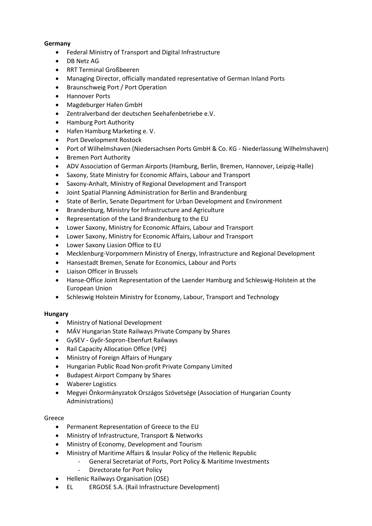## **Germany**

- Federal Ministry of Transport and Digital Infrastructure
- DB Netz AG
- RRT Terminal Großbeeren
- Managing Director, officially mandated representative of German Inland Ports
- Braunschweig Port / Port Operation
- Hannover Ports
- Magdeburger Hafen GmbH
- Zentralverband der deutschen Seehafenbetriebe e.V.
- Hamburg Port Authority
- Hafen Hamburg Marketing e. V.
- Port Development Rostock
- Port of Wilhelmshaven (Niedersachsen Ports GmbH & Co. KG Niederlassung Wilhelmshaven)
- Bremen Port Authority
- ADV Association of German Airports (Hamburg, Berlin, Bremen, Hannover, Leipzig-Halle)
- Saxony, State Ministry for Economic Affairs, Labour and Transport
- Saxony-Anhalt, Ministry of Regional Development and Transport
- Joint Spatial Planning Administration for Berlin and Brandenburg
- State of Berlin, Senate Department for Urban Development and Environment
- Brandenburg, Ministry for Infrastructure and Agriculture
- Representation of the Land Brandenburg to the EU
- Lower Saxony, Ministry for Economic Affairs, Labour and Transport
- Lower Saxony, Ministry for Economic Affairs, Labour and Transport
- Lower Saxony Liasion Office to EU
- Mecklenburg-Vorpommern Ministry of Energy, Infrastructure and Regional Development
- Hansestadt Bremen, Senate for Economics, Labour and Ports
- Liaison Officer in Brussels
- Hanse-Office Joint Representation of the Laender Hamburg and Schleswig-Holstein at the European Union
- Schleswig Holstein Ministry for Economy, Labour, Transport and Technology

# **Hungary**

- Ministry of National Development
- MÁV Hungarian State Railways Private Company by Shares
- GySEV Győr-Sopron-Ebenfurt Railways
- Rail Capacity Allocation Office (VPE)
- Ministry of Foreign Affairs of Hungary
- Hungarian Public Road Non-profit Private Company Limited
- Budapest Airport Company by Shares
- Waberer Logistics
- Megyei Önkormányzatok Országos Szövetsége (Association of Hungarian County Administrations)

### Greece

- Permanent Representation of Greece to the EU
- Ministry of Infrastructure, Transport & Networks
- Ministry of Economy, Development and Tourism
- Ministry of Maritime Affairs & Insular Policy of the Hellenic Republic
	- General Secretariat of Ports, Port Policy & Maritime Investments
	- Directorate for Port Policy
- Hellenic Railways Organisation (OSE)
- EL ERGOSE S.A. (Rail Infrastructure Development)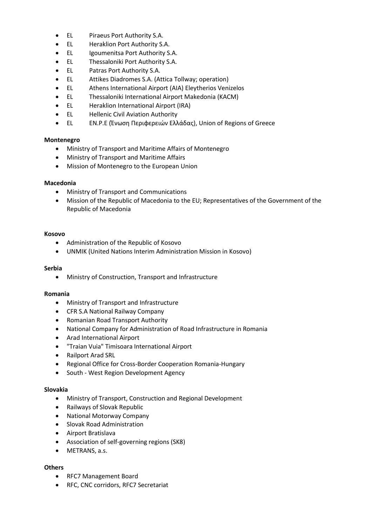- EL Piraeus Port Authority S.A.
- EL Heraklion Port Authority S.A.
- EL Igoumenitsa Port Authority S.A.
- EL Thessaloniki Port Authority S.A.
- EL Patras Port Authority S.A.
- EL Attikes Diadromes S.A. (Attica Tollway; operation)
- EL Athens International Airport (AIA) Eleytherios Venizelos
- EL Thessaloniki International Airport Makedonia (KACM)
- EL Heraklion International Airport (IRA)
- EL Hellenic Civil Aviation Authority
- EL EN.P.E (Ένωση Περιφερειών Ελλάδας), Union of Regions of Greece

### **Montenegro**

- Ministry of Transport and Maritime Affairs of Montenegro
- Ministry of Transport and Maritime Affairs
- Mission of Montenegro to the European Union

### **Macedonia**

- Ministry of Transport and Communications
- Mission of the Republic of Macedonia to the EU; Representatives of the Government of the Republic of Macedonia

### **Kosovo**

- Administration of the Republic of Kosovo
- UNMIK (United Nations Interim Administration Mission in Kosovo)

### **Serbia**

Ministry of Construction, Transport and Infrastructure

### **Romania**

- Ministry of Transport and Infrastructure
- CFR S.A National Railway Company
- Romanian Road Transport Authority
- National Company for Administration of Road Infrastructure in Romania
- Arad International Airport
- "Traian Vuia" Timisoara International Airport
- Railport Arad SRL
- Regional Office for Cross-Border Cooperation Romania-Hungary
- South West Region Development Agency

### **Slovakia**

- Ministry of Transport, Construction and Regional Development
- Railways of Slovak Republic
- National Motorway Company
- Slovak Road Administration
- Airport Bratislava
- Association of self-governing regions (SK8)
- METRANS, a.s.

### **Others**

- RFC7 Management Board
- RFC, CNC corridors, RFC7 Secretariat